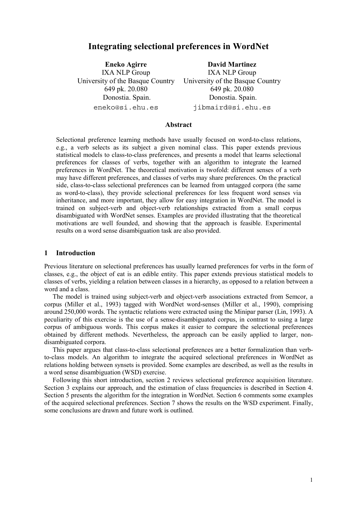# **Integrating selectional preferences in WordNet**

**Eneko Agirre** IXA NLP Group University of the Basque Country 649 pk. 20.080 Donostia. Spain. eneko@si.ehu.es

**David Martinez** IXA NLP Group University of the Basque Country 649 pk. 20.080 Donostia. Spain. jibmaird@si.ehu.es

### **Abstract**

Selectional preference learning methods have usually focused on word-to-class relations, e.g., a verb selects as its subject a given nominal class. This paper extends previous statistical models to class-to-class preferences, and presents a model that learns selectional preferences for classes of verbs, together with an algorithm to integrate the learned preferences in WordNet. The theoretical motivation is twofold: different senses of a verb may have different preferences, and classes of verbs may share preferences. On the practical side, class-to-class selectional preferences can be learned from untagged corpora (the same as word-to-class), they provide selectional preferences for less frequent word senses via inheritance, and more important, they allow for easy integration in WordNet. The model is trained on subject-verb and object-verb relationships extracted from a small corpus disambiguated with WordNet senses. Examples are provided illustrating that the theoretical motivations are well founded, and showing that the approach is feasible. Experimental results on a word sense disambiguation task are also provided.

# **1 Introduction**

Previous literature on selectional preferences has usually learned preferences for verbs in the form of classes, e.g., the object of eat is an edible entity. This paper extends previous statistical models to classes of verbs, yielding a relation between classes in a hierarchy, as opposed to a relation between a word and a class.

The model is trained using subject-verb and object-verb associations extracted from Semcor, a corpus (Miller et al., 1993) tagged with WordNet word-senses (Miller et al., 1990), comprising around 250,000 words. The syntactic relations were extracted using the Minipar parser (Lin, 1993). A peculiarity of this exercise is the use of a sense-disambiguated corpus, in contrast to using a large corpus of ambiguous words. This corpus makes it easier to compare the selectional preferences obtained by different methods. Nevertheless, the approach can be easily applied to larger, nondisambiguated corpora.

This paper argues that class-to-class selectional preferences are a better formalization than verbto-class models. An algorithm to integrate the acquired selectional preferences in WordNet as relations holding between synsets is provided. Some examples are described, as well as the results in a word sense disambiguation (WSD) exercise.

Following this short introduction, section 2 reviews selectional preference acquisition literature. Section 3 explains our approach, and the estimation of class frequencies is described in Section 4. Section 5 presents the algorithm for the integration in WordNet. Section 6 comments some examples of the acquired selectional preferences. Section 7 shows the results on the WSD experiment. Finally, some conclusions are drawn and future work is outlined.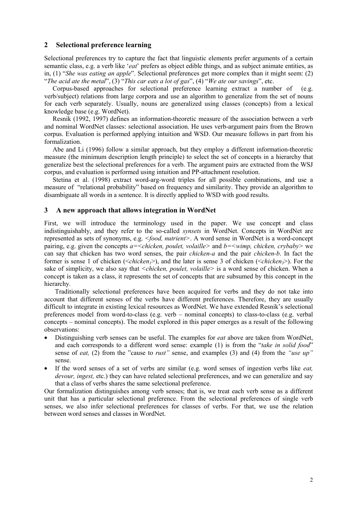# **2 Selectional preference learning**

Selectional preferences try to capture the fact that linguistic elements prefer arguments of a certain semantic class, e.g. a verb like '*eat*' prefers as object edible things, and as subject animate entities, as in, (1) "*She was eating an apple*". Selectional preferences get more complex than it might seem: (2) "*The acid ate the metal*", (3) "*This car eats a lot of gas*", (4) "*We ate our savings*", etc.

Corpus-based approaches for selectional preference learning extract a number of (e.g. verb/subject) relations from large corpora and use an algorithm to generalize from the set of nouns for each verb separately. Usually, nouns are generalized using classes (concepts) from a lexical knowledge base (e.g. WordNet).

Resnik (1992, 1997) defines an information-theoretic measure of the association between a verb and nominal WordNet classes: selectional association. He uses verb-argument pairs from the Brown corpus. Evaluation is performed applying intuition and WSD. Our measure follows in part from his formalization.

Abe and Li (1996) follow a similar approach, but they employ a different information-theoretic measure (the minimum description length principle) to select the set of concepts in a hierarchy that generalize best the selectional preferences for a verb. The argument pairs are extracted from the WSJ corpus, and evaluation is performed using intuition and PP-attachment resolution.

Stetina et al. (1998) extract word-arg-word triples for all possible combinations, and use a measure of "relational probability" based on frequency and similarity. They provide an algorithm to disambiguate all words in a sentence. It is directly applied to WSD with good results.

### **3 A new approach that allows integration in WordNet**

First, we will introduce the terminology used in the paper. We use concept and class indistinguishably, and they refer to the so-called *synsets* in WordNet. Concepts in WordNet are represented as sets of synonyms, e.g. *<food, nutrient>*. A word sense in WordNet is a word-concept pairing, e.g. given the concepts *a=<chicken, poulet, volaille>* and *b=<wimp, chicken, crybaby>* we can say that chicken has two word senses, the pair *chicken-a* and the pair *chicken-b*. In fact the former is sense 1 of chicken ( $\leq chicken$ ), and the later is sense 3 of chicken ( $\leq chicken$ ). For the sake of simplicity, we also say that *<chicken, poulet, volaille>* is a word sense of chicken. When a concept is taken as a class, it represents the set of concepts that are subsumed by this concept in the hierarchy.

Traditionally selectional preferences have been acquired for verbs and they do not take into account that different senses of the verbs have different preferences. Therefore, they are usually difficult to integrate in existing lexical resources as WordNet. We have extended Resnik's selectional preferences model from word-to-class (e.g. verb – nominal concepts) to class-to-class (e.g. verbal concepts – nominal concepts). The model explored in this paper emerges as a result of the following observations:

- Distinguishing verb senses can be useful. The examples for *eat* above are taken from WordNet, and each corresponds to a different word sense: example (1) is from the "*take in solid food*" sense of *eat,* (2) from the "cause to *rust"* sense, and examples (3) and (4) from the *"use up"*  sense.
- If the word senses of a set of verbs are similar (e.g. word senses of ingestion verbs like *eat, devour, ingest,* etc.) they can have related selectional preferences, and we can generalize and say that a class of verbs shares the same selectional preference.

Our formalization distinguishes among verb senses; that is, we treat each verb sense as a different unit that has a particular selectional preference. From the selectional preferences of single verb senses, we also infer selectional preferences for classes of verbs. For that, we use the relation between word senses and classes in WordNet.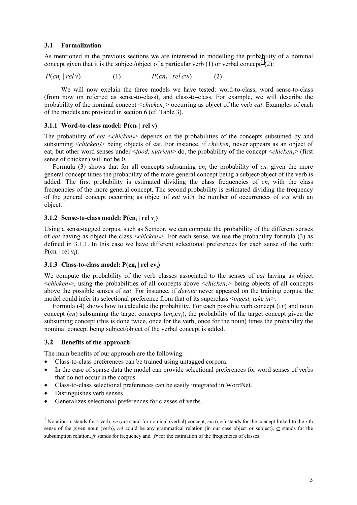# **3.1 Formalization**

As mentioned in the previous sections we are interested in modelling the probability of a nominal concept given that it is the subject/object of a particular verb (1) or verbal concept<sup>1</sup> (2):

$$
P(cn_i | rely) \t\t (1) \t\t P(cn_i | rely) \t\t (2)
$$

We will now explain the three models we have tested: word-to-class, word sense-to-class (from now on referred as sense-to-class), and class-to-class. For example, we will describe the probability of the nominal concept *<chicken1>* occurring as object of the verb *eat*. Examples of each of the models are provided in section 6 (cf. Table 3).

### **3.1.1 Word-to-class model: P(cn<sub>i</sub> | rel v)**

The probability of *eat*  $\langle$ *chicken<sub>1</sub>* $\rangle$  depends on the probabilities of the concepts subsumed by and subsuming  $\langle$ *chicken<sub>1</sub>* $\rangle$  being objects of eat. For instance, if *chicken<sub>1</sub>* never appears as an object of eat, but other word senses under  $\leq$ *food, nutrient*> do, the probability of the concept  $\leq$ *chicken*<sub>1</sub>> (first sense of chicken) will not be 0.

Formula (3) shows that for all concepts subsuming  $cn_i$  the probability of  $cn_i$  given the more general concept times the probability of the more general concept being a subject/object of the verb is added. The first probability is estimated dividing the class frequencies of  $cn<sub>i</sub>$  with the class frequencies of the more general concept. The second probability is estimated dividing the frequency of the general concept occurring as object of *eat* with the number of occurrences of *eat* with an object.

# **3.1.2 Sense-to-class model: P(cn<sub>i</sub> | rel v<sub>i</sub>)**

Using a sense-tagged corpus, such as Semcor, we can compute the probability of the different senses of *eat* having as object the class <*chicken<sub>1</sub>*>. For each sense, we use the probability formula (3) as defined in 3.1.1. In this case we have different selectional preferences for each sense of the verb:  $P(cn_i | rel v_i)$ .

### **3.1.3 Class-to-class model: P(cn<sub>i</sub> | rel cv<sub>i</sub>)**

We compute the probability of the verb classes associated to the senses of *eat* having as object <*chicken1*>, using the probabilities of all concepts above <*chicken1>* being objects of all concepts above the possible senses of *eat*. For instance, if *devour* never appeared on the training corpus, the model could infer its selectional preference from that of its superclass <*ingest, take in>*.

Formula (4) shows how to calculate the probability. For each possible verb concept  $(cv)$  and noun concept  $(cn)$  subsuming the target concepts  $(cn_i, cv_i)$ , the probability of the target concept given the subsuming concept (this is done twice, once for the verb, once for the noun) times the probability the nominal concept being subject/object of the verbal concept is added.

# **3.2 Benefits of the approach**

The main benefits of our approach are the following:

- Class-to-class preferences can be trained using untagged corpora.
- In the case of sparse data the model can provide selectional preferences for word senses of verbs that do not occur in the corpus.
- Class-to-class selectional preferences can be easily integrated in WordNet.
- Distinguishes verb senses.

l

• Generalizes selectional preferences for classes of verbs.

<sup>&</sup>lt;sup>1</sup> Notation: *v* stands for a verb, *cn* (*cv*) stand for nominal (verbal) concept,  $cn_i$  ( $cv_i$ ) stands for the concept linked to the *i*-th sense of the given noun (verb), *rel* could be any grammatical relation (in our case object or subject), ⊆ stands for the subsumption relation, *fr* stands for frequency and  $\hat{f}$  for the estimation of the frequencies of classes.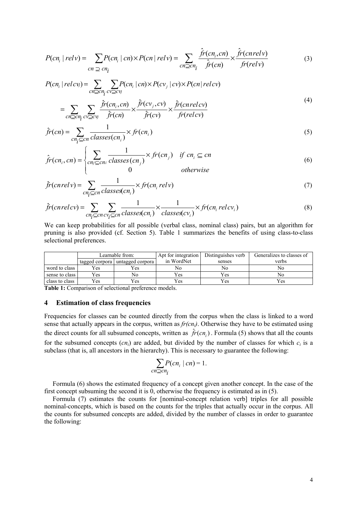$$
P(cn_i | rely) = \sum_{cn \supseteq cn_i} P(cn_i | cn) \times P(cn | rely) = \sum_{cn \supseteq cn_i} \frac{\hat{fr}(cn_i, cn)}{\hat{fr}(cn)} \times \frac{\hat{fr}(cn relv)}{\hat{fr}(relv)} \tag{3}
$$

$$
P(cn_i | relcv_j) = \sum_{cn \geq cn_i} \sum_{cv \geq cv_j} P(cn_i | cn) \times P(cv_j | cv) \times P(cn | relcv)
$$
  
= 
$$
\sum \sum \frac{\hat{fr}(cn_i, cn)}{\hat{fr}(cn_i)} \times \frac{\hat{fr}(cv_j, cv)}{\hat{fr}(cv_j)} \times \frac{\hat{fr}(cn relcv)}{\hat{fr}(rel(v))}
$$
 (4)

$$
-\sum_{cn \geq cn_i} \sum_{cv \geq cv_j} \hat{fr}(cn) \qquad \hat{fr}(cv) \qquad fr(relev)
$$
  

$$
\hat{fr}(cn) = \sum_{cn_i \leq cn} \frac{1}{classes(cn_i)} \times fr(cn_i)
$$
 (5)

$$
\hat{f}r(cn_i, cn) = \begin{cases}\n\sum_{cn_j \subseteq cn_i} \frac{1}{classes(cn_j)} \times fr(cn_j) & \text{if } cn_i \subseteq cn \\
0 & \text{otherwise}\n\end{cases}
$$
\n(6)

$$
\hat{f}r(cnrelv) = \sum_{cn_i \subseteq cn} \frac{1}{classes(cn_i)} \times fr(cn_i relv)
$$
\n(7)

$$
\hat{f}r(cnrelcv) = \sum_{cn_i \subseteq cn \, cv_i \subseteq cn} \frac{1}{classes(cn_i)} \times \frac{1}{classes(cv_i)} \times fr(cn_i \, relcv_i)
$$
\n<sup>(8)</sup>

We can keep probabilities for all possible (verbal class, nominal class) pairs, but an algorithm for pruning is also provided (cf. Section 5). Table 1 summarizes the benefits of using class-to-class selectional preferences.

|                | Learnable from: |                                 | Apt for integration | Distinguishes verb | Generalizes to classes of |  |
|----------------|-----------------|---------------------------------|---------------------|--------------------|---------------------------|--|
|                |                 | tagged corpora untagged corpora | in WordNet          | senses             | verbs                     |  |
| word to class  | Yes             | Yes                             | No                  | No                 | No                        |  |
| sense to class | Yes             | Nο                              | Yes                 | Yes                | No                        |  |
| class to class | Yes             | Yes                             | Yes                 | Yes                | Yes                       |  |

**Table 1:** Comparison of selectional preference models.

#### **4 Estimation of class frequencies**

Frequencies for classes can be counted directly from the corpus when the class is linked to a word sense that actually appears in the corpus, written as *fr(cni)*. Otherwise they have to be estimated using the direct counts for all subsumed concepts, written as  $\hat{f}$  *f* $(cn_i)$ . Formula (5) shows that all the counts for the subsumed concepts  $(cn_i)$  are added, but divided by the number of classes for which  $c_i$  is a subclass (that is, all ancestors in the hierarchy). This is necessary to guarantee the following:

$$
\sum_{cn \supseteq cn_i} P(cn_i \mid cn) = 1.
$$

Formula (6) shows the estimated frequency of a concept given another concept. In the case of the first concept subsuming the second it is 0, otherwise the frequency is estimated as in (5).

Formula (7) estimates the counts for [nominal-concept relation verb] triples for all possible nominal-concepts, which is based on the counts for the triples that actually occur in the corpus. All the counts for subsumed concepts are added, divided by the number of classes in order to guarantee the following: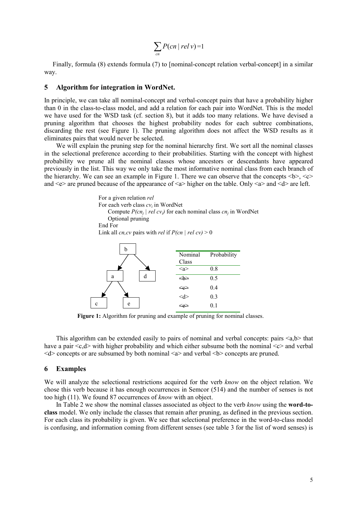$$
\sum_{cn} P(cn \mid rel \, v) = 1
$$

Finally, formula (8) extends formula (7) to [nominal-concept relation verbal-concept] in a similar way.

#### **5 Algorithm for integration in WordNet.**

In principle, we can take all nominal-concept and verbal-concept pairs that have a probability higher than 0 in the class-to-class model, and add a relation for each pair into WordNet. This is the model we have used for the WSD task (cf. section 8), but it adds too many relations. We have devised a pruning algorithm that chooses the highest probability nodes for each subtree combinations, discarding the rest (see Figure 1). The pruning algorithm does not affect the WSD results as it eliminates pairs that would never be selected.

We will explain the pruning step for the nominal hierarchy first. We sort all the nominal classes in the selectional preference according to their probabilities. Starting with the concept with highest probability we prune all the nominal classes whose ancestors or descendants have appeared previously in the list. This way we only take the most informative nominal class from each branch of the hierarchy. We can see an example in Figure 1. There we can observe that the concepts  $\langle \rangle \langle \rangle \langle \rangle$ and  $\leq e$  are pruned because of the appearance of  $\leq a$  higher on the table. Only  $\leq a$  and  $\leq d$  are left.

> For a given relation *rel* For each verb class *cvi* in WordNet Compute  $P(cn_i \mid rel\ cv_i)$  for each nominal class  $cn_i$  in WordNet Optional pruning End For Link all *cn,cv* pairs with *rel* if  $P(cn | rel cv) > 0$



**Figure 1:** Algorithm for pruning and example of pruning for nominal classes.

This algorithm can be extended easily to pairs of nominal and verbal concepts: pairs  $\langle a,b \rangle$  that have a pair  $\langle c,d \rangle$  with higher probability and which either subsume both the nominal  $\langle c \rangle$  and verbal <d> concepts or are subsumed by both nominal <a> and verbal <b> concepts are pruned.

#### **6 Examples**

We will analyze the selectional restrictions acquired for the verb *know* on the object relation. We chose this verb because it has enough occurrences in Semcor (514) and the number of senses is not too high (11). We found 87 occurrences of *know* with an object.

In Table 2 we show the nominal classes associated as object to the verb *know* using the **word-toclass** model. We only include the classes that remain after pruning, as defined in the previous section. For each class its probability is given. We see that selectional preference in the word-to-class model is confusing, and information coming from different senses (see table 3 for the list of word senses) is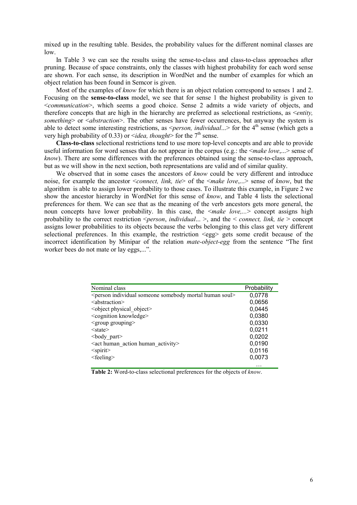mixed up in the resulting table. Besides, the probability values for the different nominal classes are low.

In Table 3 we can see the results using the sense-to-class and class-to-class approaches after pruning. Because of space constraints, only the classes with highest probability for each word sense are shown. For each sense, its description in WordNet and the number of examples for which an object relation has been found in Semcor is given.

Most of the examples of *know* for which there is an object relation correspond to senses 1 and 2. Focusing on the **sense-to-class** model, we see that for sense 1 the highest probability is given to <*communication*>, which seems a good choice. Sense 2 admits a wide variety of objects, and therefore concepts that are high in the hierarchy are preferred as selectional restrictions, as <*entity, something*> or <*abstraction*>. The other senses have fewer occurrences, but anyway the system is able to detect some interesting restrictions, as  $\leq$ *person, individual...*> for the 4<sup>th</sup> sense (which gets a very high probability of 0.33) or  $\leq$ *idea, thought* for the 7<sup>th</sup> sense.

**Class-to-class** selectional restrictions tend to use more top-level concepts and are able to provide useful information for word senses that do not appear in the corpus (e.g.: the <*make love*,...> sense of *know*). There are some differences with the preferences obtained using the sense-to-class approach, but as we will show in the next section, both representations are valid and of similar quality.

We observed that in some cases the ancestors of *know* could be very different and introduce noise, for example the ancestor <*connect, link, tie*> of the <*make love*,...> sense of *know*, but the algorithm is able to assign lower probability to those cases. To illustrate this example, in Figure 2 we show the ancestor hierarchy in WordNet for this sense of *know*, and Table 4 lists the selectional preferences for them. We can see that as the meaning of the verb ancestors gets more general, the noun concepts have lower probability. In this case, the  $\leq$  make love,...> concept assigns high probability to the correct restriction <*person*, *individual*... >, and the < *connect, link, tie* > concept assigns lower probabilities to its objects because the verbs belonging to this class get very different selectional preferences. In this example, the restriction <egg> gets some credit because of the incorrect identification by Minipar of the relation *mate-object-egg* from the sentence "The first worker bees do not mate or lay eggs,...".

| Nominal class                                                      | Probability |
|--------------------------------------------------------------------|-------------|
| $\leq$ person individual someone somebody mortal human soul $\geq$ | 0,0778      |
| $\leq$ abstraction $\geq$                                          | 0,0656      |
| <object object="" physical=""></object>                            | 0,0445      |
| <cognition knowledge=""></cognition>                               | 0,0380      |
| $\leq$ group grouping $\geq$                                       | 0,0330      |
| $<$ state $>$                                                      | 0,0211      |
| $<$ body part $>$                                                  | 0,0202      |
| <act action="" activity="" human=""></act>                         | 0,0190      |
| $\le$ spirit $\ge$                                                 | 0,0116      |
| $<$ feeling $>$                                                    | 0,0073      |
|                                                                    | .           |

 **Table 2:** Word-to-class selectional preferences for the objects of *know*.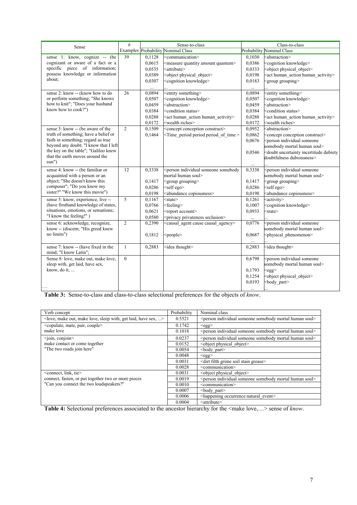| Sense                                 | #              |        | Sense-to-class                                                                                                                         |          | Class-to-class                                                  |  |  |
|---------------------------------------|----------------|--------|----------------------------------------------------------------------------------------------------------------------------------------|----------|-----------------------------------------------------------------|--|--|
|                                       |                |        | <b>Examples Probability Nominal Class</b>                                                                                              |          | <b>Probability Nominal Class</b>                                |  |  |
| sense 1: know, cognize -- (be)        | 39             | 0.1128 | <communication></communication>                                                                                                        | 0,1030   | <abstraction></abstraction>                                     |  |  |
| cognizant or aware of a fact or a     |                | 0,0615 | <measure amount="" quantity="" quantum=""></measure>                                                                                   | 0,0386   | <cognition knowledge=""></cognition>                            |  |  |
| specific piece of information;        |                | 0,0535 | <attribute></attribute>                                                                                                                | 0,0333   | <object object="" physical=""></object>                         |  |  |
| possess knowledge or information      |                | 0,0389 | <object object="" physical=""></object>                                                                                                | 0,0198   | <act action="" activity="" human=""></act>                      |  |  |
| about:                                |                | 0,0307 | <cognition knowledge=""></cognition>                                                                                                   | 0.0183   | <group grouping=""></group>                                     |  |  |
|                                       |                |        |                                                                                                                                        |          |                                                                 |  |  |
| sense 2: know -- (know how to do      | 26             | 0,0894 | <entity something=""></entity>                                                                                                         | 0,0894   | <entity something=""></entity>                                  |  |  |
| or perform something; "She knows      |                | 0,0507 | <cognition knowledge=""></cognition>                                                                                                   | 0,0507   | <cognition knowledge=""></cognition>                            |  |  |
| how to knit"; "Does your husband      |                | 0.0459 | <abstraction></abstraction>                                                                                                            | 0,0459   | <abstraction></abstraction>                                     |  |  |
| know how to cook?")                   |                | 0,0384 | <condition status=""></condition>                                                                                                      | 0,0384   | <condition status=""></condition>                               |  |  |
|                                       |                | 0,0288 | <act human_action="" human_activity=""></act>                                                                                          | 0,0288   | <act human_action="" human_activity=""></act>                   |  |  |
|                                       |                | 0,0172 | <wealth riches=""></wealth>                                                                                                            | 0,0172   | <wealth riches=""></wealth>                                     |  |  |
| sense 3: know -- (be aware of the     | $\overline{c}$ | 0,1509 | <concept conception="" construct=""></concept>                                                                                         | 0,0952   | <abstraction></abstraction>                                     |  |  |
| truth of something; have a belief or  |                | 0,1464 | <time of="" period="" time=""></time>                                                                                                  | 0,0862   | <concept conception="" construct=""></concept>                  |  |  |
| faith in something; regard as true    |                |        |                                                                                                                                        | 0,0676   | <person individual="" someone<="" td=""></person>               |  |  |
| beyond any doubt; "I know that I left |                |        |                                                                                                                                        |          | somebody mortal human soul>                                     |  |  |
| the key on the table"; "Galileo knew  |                |        |                                                                                                                                        | 0,0546   | <doubt dubiety<="" incertitude="" td="" uncertainty=""></doubt> |  |  |
| that the earth moves around the       |                |        |                                                                                                                                        |          | doubtfulness dubiousness>                                       |  |  |
| sum")                                 |                |        |                                                                                                                                        |          |                                                                 |  |  |
| sense 4: know -- (be familiar or      | 12             | 0,3338 | <person individual="" somebody<="" someone="" td=""><td>0,3338</td><td><person individual="" someone<="" td=""></person></td></person> | 0,3338   | <person individual="" someone<="" td=""></person>               |  |  |
| acquainted with a person or an        |                |        | mortal human soul>                                                                                                                     |          | somebody mortal human soul>                                     |  |  |
| object; "She doesn't know this        |                | 0,1417 | <group grouping=""></group>                                                                                                            | 0,1417   | <group grouping=""></group>                                     |  |  |
| composer"; "Do you know my            |                | 0,0286 | <self ego=""></self>                                                                                                                   | 0,0286   | <self ego=""></self>                                            |  |  |
| sister?" "We know this movie")        |                | 0,0198 | <abundance copiousness=""></abundance>                                                                                                 | 0,0198   | <abundance copiousness=""></abundance>                          |  |  |
| sense 5: know, experience, live --    | 5              | 0,1167 | $<$ state $>$                                                                                                                          | 0,1261   | <activity></activity>                                           |  |  |
| (have firsthand knowledge of states,  |                | 0,0766 | <feeling></feeling>                                                                                                                    | 0,1007   | <cognition knowledge=""></cognition>                            |  |  |
| situations, emotions, or sensations;  |                | 0,0621 | <report account=""></report>                                                                                                           | 0,0933   | <state></state>                                                 |  |  |
| "I know the feeling!")                |                | 0,0580 | <privacy privateness="" seclusion=""></privacy>                                                                                        |          |                                                                 |  |  |
| sense 6: acknowledge, recognize,      | $\overline{2}$ | 0,2390 | <causal_agent causal_agency="" cause=""></causal_agent>                                                                                | 0,0776   | <person individual="" someone<="" td=""></person>               |  |  |
| know -- (discern; "His greed knew     |                |        |                                                                                                                                        |          | somebody mortal human soul>                                     |  |  |
| no limits")                           |                | 0,1812 | <people></people>                                                                                                                      | 0,0687   | <physical phenomenon=""></physical>                             |  |  |
|                                       |                |        |                                                                                                                                        |          |                                                                 |  |  |
| sense 7: know -- (have fixed in the   | $\mathbf{1}$   | 0,2883 | <idea thought=""></idea>                                                                                                               | 0,2883   | <idea thought=""></idea>                                        |  |  |
| mind; "I know Latin";                 |                |        |                                                                                                                                        |          |                                                                 |  |  |
| Sense 8: love, make out, make love,   | $\overline{0}$ |        |                                                                                                                                        | 0,6798   | <person individual="" someone<="" td=""></person>               |  |  |
| sleep with, get laid, have sex,       |                |        |                                                                                                                                        |          | somebody mortal human soul>                                     |  |  |
| know, do it,                          |                |        |                                                                                                                                        | 0,1793   | $<$ egg $>$                                                     |  |  |
|                                       |                |        |                                                                                                                                        | 0,1254   | <object physical_object=""></object>                            |  |  |
|                                       |                |        |                                                                                                                                        | 0,0193   | <body_part></body_part>                                         |  |  |
|                                       |                |        |                                                                                                                                        | $\ldots$ |                                                                 |  |  |

**Table 3:** Sense-to-class and class-to-class selectional preferences for the objects of *know*.

| Verb concept                                                                               | Probability | Nominal class                                                                     |
|--------------------------------------------------------------------------------------------|-------------|-----------------------------------------------------------------------------------|
| <love, get="" have="" laid,="" love,="" make="" out,="" sex,="" sleep="" with,=""></love,> | 0.5521      | <person human="" individual="" mortal="" somebody="" someone="" soul=""></person> |
| <copulate, couple="" mate,="" pair,=""></copulate,>                                        | 0.1742      | $<$ egg $>$                                                                       |
| make love                                                                                  | 0.1018      | <person human="" individual="" mortal="" somebody="" someone="" soul=""></person> |
| $\overline{\text{-join, conjoin}}$                                                         | 0.0237      | <person human="" individual="" mortal="" somebody="" someone="" soul=""></person> |
| make contact or come together                                                              | 0.0152      | <object object="" physical=""></object>                                           |
| "The two roads join here"                                                                  | 0.0054      | <br>body part>                                                                    |
|                                                                                            | 0.0048      | $<$ egg $>$                                                                       |
|                                                                                            | 0.0031      | <dirt filth="" grease="" grime="" soil="" stain=""></dirt>                        |
|                                                                                            | 0.0028      | <communication></communication>                                                   |
| $\alpha$ <connect, <math="" link,="" tie="">&gt;</connect,>                                | 0.0031      | <object object="" physical=""></object>                                           |
| connect, fasten, or put together two or more pieces                                        | 0.0019      | <person human="" individual="" mortal="" somebody="" someone="" soul=""></person> |
| "Can you connect the two loudspeakers?"                                                    | 0.0010      | <communication></communication>                                                   |
|                                                                                            | 0.0007      | <br>body_part>                                                                    |
|                                                                                            | 0.0006      | <happening event="" natural="" occurrence=""></happening>                         |
|                                                                                            | 0.0004      | $\leq$ attribute $\geq$                                                           |

**Table 4:** Selectional preferences associated to the ancestor hierarchy for the <make love,…> sense of *know*.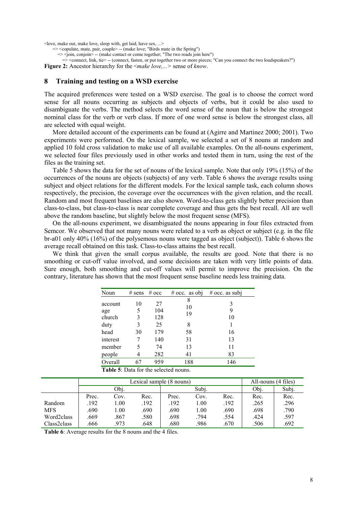<love, make out, make love, sleep with, get laid, have sex, ...>

 $\Rightarrow$  <copulate, mate, pair, couple> -- (make love; "Birds mate in the Spring")

=> <join, conjoin> -- (make contact or come together; "The two roads join here")

=> <connect, link, tie> -- (connect, fasten, or put together two or more pieces; "Can you connect the two loudspeakers?")

**Figure 2:** Ancestor hierarchy for the <*make love,...>* sense of *know*.

#### **8 Training and testing on a WSD exercise**

The acquired preferences were tested on a WSD exercise. The goal is to choose the correct word sense for all nouns occurring as subjects and objects of verbs, but it could be also used to disambiguate the verbs. The method selects the word sense of the noun that is below the strongest nominal class for the verb or verb class. If more of one word sense is below the strongest class, all are selected with equal weight.

More detailed account of the experiments can be found at (Agirre and Martinez 2000; 2001). Two experiments were performed. On the lexical sample, we selected a set of 8 nouns at random and applied 10 fold cross validation to make use of all available examples. On the all-nouns experiment, we selected four files previously used in other works and tested them in turn, using the rest of the files as the training set.

Table 5 shows the data for the set of nouns of the lexical sample. Note that only 19% (15%) of the occurrences of the nouns are objects (subjects) of any verb. Table 6 shows the average results using subject and object relations for the different models. For the lexical sample task, each column shows respectively, the precision, the coverage over the occurrences with the given relation, and the recall. Random and most frequent baselines are also shown. Word-to-class gets slightly better precision than class-to-class, but class-to-class is near complete coverage and thus gets the best recall. All are well above the random baseline, but slightly below the most frequent sense (MFS).

On the all-nouns experiment, we disambiguated the nouns appearing in four files extracted from Semcor. We observed that not many nouns were related to a verb as object or subject (e.g. in the file br-a01 only 40% (16%) of the polysemous nouns were tagged as object (subject)). Table 6 shows the average recall obtained on this task. Class-to-class attains the best recall.

We think that given the small corpus available, the results are good. Note that there is no smoothing or cut-off value involved, and some decisions are taken with very little points of data. Sure enough, both smoothing and cut-off values will permit to improve the precision. On the contrary, literature has shown that the most frequent sense baseline needs less training data.

| Noun                                         | $#$ sens          | $#$ occ                | $#$ occ. as obj    | $#$ occ. as subj |  |
|----------------------------------------------|-------------------|------------------------|--------------------|------------------|--|
| account<br>age<br>church<br>duty             | 10<br>5<br>3<br>3 | 27<br>104<br>128<br>25 | 8<br>10<br>19<br>8 | 3<br>9<br>10     |  |
| head                                         | 30                | 179                    | 58                 | 16               |  |
| interest                                     |                   | 140                    | 31                 | 13               |  |
| member                                       | 5                 | 74                     | 13                 | 11               |  |
| people                                       | 4                 | 282                    | 41                 | 83               |  |
| Overall                                      | 67                | 959                    | 188                | 146              |  |
| <b>Table 5:</b> Data for the selected nouns. |                   |                        |                    |                  |  |

|             | Lexical sample (8 nouns) |      |      |       |      |      | All-nouns (4 files) |       |
|-------------|--------------------------|------|------|-------|------|------|---------------------|-------|
|             | Obj.                     |      |      | Subi. |      |      | Obj.                | Subj. |
|             | Prec.                    | Cov. | Rec. | Prec. | Cov. | Rec. | Rec.                | Rec.  |
| Random      | .192                     | 1.00 | .192 | 192   | L.00 | .192 | .265                | .296  |
| <b>MFS</b>  | .690                     | 1.00 | .690 | .690  | L.00 | .690 | .698                | .790  |
| Word2class  | .669                     | .867 | .580 | .698  | .794 | .554 | .424                | .597  |
| Class2class | .666                     | 973. | .648 | .680  | .986 | .670 | .506                | .692  |

**Table 6**: Average results for the 8 nouns and the 4 files.